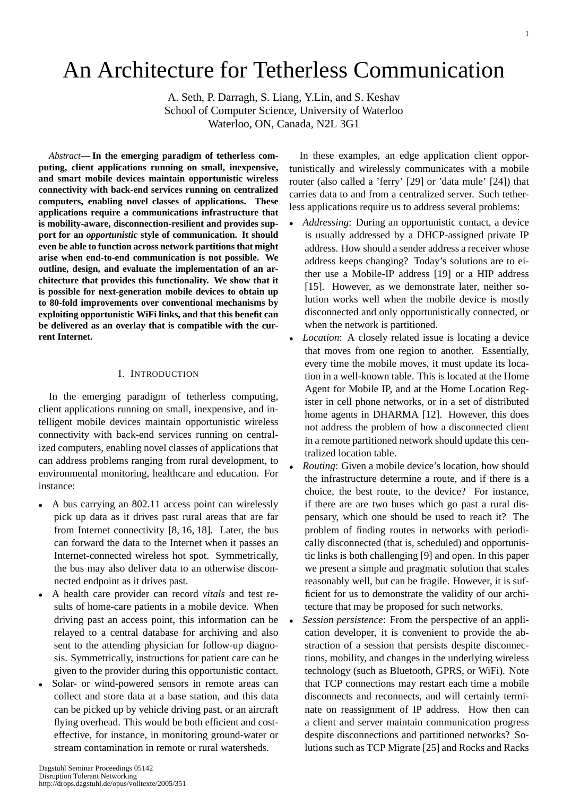# An Architecture for Tetherless Communication

A. Seth, P. Darragh, S. Liang, Y.Lin, and S. Keshav School of Computer Science, University of Waterloo Waterloo, ON, Canada, N2L 3G1

*Abstract***— In the emerging paradigm of tetherless computing, client applications running on small, inexpensive, and smart mobile devices maintain opportunistic wireless connectivity with back-end services running on centralized computers, enabling novel classes of applications. These applications require a communications infrastructure that is mobility-aware, disconnection-resilient and provides support for an** *opportunistic* **style of communication. It should even be able to function across network partitions that might arise when end-to-end communication is not possible. We outline, design, and evaluate the implementation of an architecture that provides this functionality. We show that it is possible for next-generation mobile devices to obtain up to 80-fold improvements over conventional mechanisms by exploiting opportunistic WiFi links, and that this benefit can be delivered as an overlay that is compatible with the current Internet.**

## I. INTRODUCTION

In the emerging paradigm of tetherless computing, client applications running on small, inexpensive, and intelligent mobile devices maintain opportunistic wireless connectivity with back-end services running on centralized computers, enabling novel classes of applications that can address problems ranging from rural development, to environmental monitoring, healthcare and education. For instance:

- A bus carrying an 802.11 access point can wirelessly pick up data as it drives past rural areas that are far from Internet connectivity [8, 16, 18]. Later, the bus can forward the data to the Internet when it passes an Internet-connected wireless hot spot. Symmetrically, the bus may also deliver data to an otherwise disconnected endpoint as it drives past.
- A health care provider can record *vitals* and test results of home-care patients in a mobile device. When driving past an access point, this information can be relayed to a central database for archiving and also sent to the attending physician for follow-up diagnosis. Symmetrically, instructions for patient care can be given to the provider during this opportunistic contact.
- Solar- or wind-powered sensors in remote areas can collect and store data at a base station, and this data can be picked up by vehicle driving past, or an aircraft flying overhead. This would be both efficient and costeffective, for instance, in monitoring ground-water or stream contamination in remote or rural watersheds.

In these examples, an edge application client opportunistically and wirelessly communicates with a mobile router (also called a 'ferry' [29] or 'data mule' [24]) that carries data to and from a centralized server. Such tetherless applications require us to address several problems:

- *Addressing*: During an opportunistic contact, a device is usually addressed by a DHCP-assigned private IP address. How should a sender address a receiver whose address keeps changing? Today's solutions are to either use a Mobile-IP address [19] or a HIP address [15]. However, as we demonstrate later, neither solution works well when the mobile device is mostly disconnected and only opportunistically connected, or when the network is partitioned.
- *Location*: A closely related issue is locating a device that moves from one region to another. Essentially, every time the mobile moves, it must update its location in a well-known table. This is located at the Home Agent for Mobile IP, and at the Home Location Register in cell phone networks, or in a set of distributed home agents in DHARMA [12]. However, this does not address the problem of how a disconnected client in a remote partitioned network should update this centralized location table.
- *Routing*: Given a mobile device's location, how should the infrastructure determine a route, and if there is a choice, the best route, to the device? For instance, if there are are two buses which go past a rural dispensary, which one should be used to reach it? The problem of finding routes in networks with periodically disconnected (that is, scheduled) and opportunistic links is both challenging [9] and open. In this paper we present a simple and pragmatic solution that scales reasonably well, but can be fragile. However, it is sufficient for us to demonstrate the validity of our architecture that may be proposed for such networks.
- *Session persistence*: From the perspective of an application developer, it is convenient to provide the abstraction of a session that persists despite disconnections, mobility, and changes in the underlying wireless technology (such as Bluetooth, GPRS, or WiFi). Note that TCP connections may restart each time a mobile disconnects and reconnects, and will certainly terminate on reassignment of IP address. How then can a client and server maintain communication progress despite disconnections and partitioned networks? Solutions such as TCP Migrate [25] and Rocks and Racks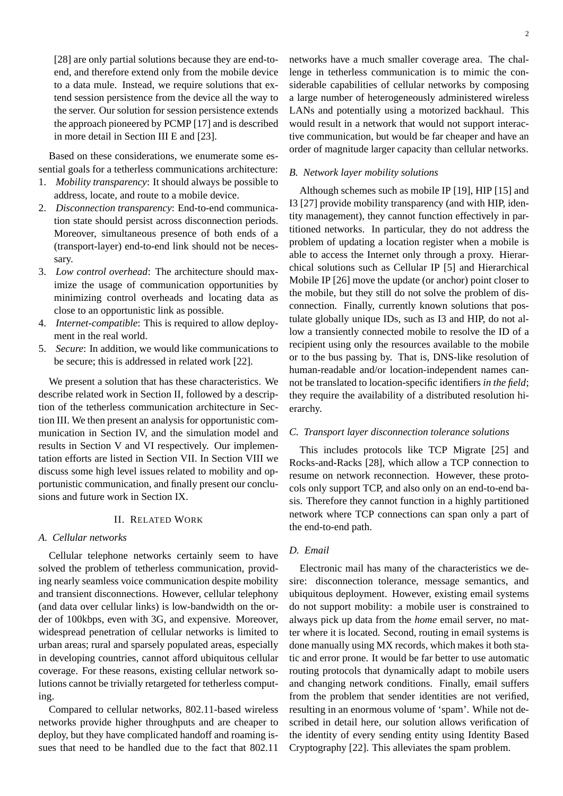[28] are only partial solutions because they are end-toend, and therefore extend only from the mobile device to a data mule. Instead, we require solutions that extend session persistence from the device all the way to the server. Our solution for session persistence extends the approach pioneered by PCMP [17] and is described in more detail in Section III E and [23].

Based on these considerations, we enumerate some essential goals for a tetherless communications architecture:

- 1. *Mobility transparency*: It should always be possible to address, locate, and route to a mobile device.
- 2. *Disconnection transparency*: End-to-end communication state should persist across disconnection periods. Moreover, simultaneous presence of both ends of a (transport-layer) end-to-end link should not be necessary.
- 3. *Low control overhead*: The architecture should maximize the usage of communication opportunities by minimizing control overheads and locating data as close to an opportunistic link as possible.
- 4. *Internet-compatible*: This is required to allow deployment in the real world.
- 5. *Secure*: In addition, we would like communications to be secure; this is addressed in related work [22].

We present a solution that has these characteristics. We describe related work in Section II, followed by a description of the tetherless communication architecture in Section III. We then present an analysis for opportunistic communication in Section IV, and the simulation model and results in Section V and VI respectively. Our implementation efforts are listed in Section VII. In Section VIII we discuss some high level issues related to mobility and opportunistic communication, and finally present our conclusions and future work in Section IX.

## II. RELATED WORK

## *A. Cellular networks*

Cellular telephone networks certainly seem to have solved the problem of tetherless communication, providing nearly seamless voice communication despite mobility and transient disconnections. However, cellular telephony (and data over cellular links) is low-bandwidth on the order of 100kbps, even with 3G, and expensive. Moreover, widespread penetration of cellular networks is limited to urban areas; rural and sparsely populated areas, especially in developing countries, cannot afford ubiquitous cellular coverage. For these reasons, existing cellular network solutions cannot be trivially retargeted for tetherless computing.

Compared to cellular networks, 802.11-based wireless networks provide higher throughputs and are cheaper to deploy, but they have complicated handoff and roaming issues that need to be handled due to the fact that 802.11 networks have a much smaller coverage area. The challenge in tetherless communication is to mimic the considerable capabilities of cellular networks by composing a large number of heterogeneously administered wireless LANs and potentially using a motorized backhaul. This would result in a network that would not support interactive communication, but would be far cheaper and have an order of magnitude larger capacity than cellular networks.

### *B. Network layer mobility solutions*

Although schemes such as mobile IP [19], HIP [15] and I3 [27] provide mobility transparency (and with HIP, identity management), they cannot function effectively in partitioned networks. In particular, they do not address the problem of updating a location register when a mobile is able to access the Internet only through a proxy. Hierarchical solutions such as Cellular IP [5] and Hierarchical Mobile IP [26] move the update (or anchor) point closer to the mobile, but they still do not solve the problem of disconnection. Finally, currently known solutions that postulate globally unique IDs, such as I3 and HIP, do not allow a transiently connected mobile to resolve the ID of a recipient using only the resources available to the mobile or to the bus passing by. That is, DNS-like resolution of human-readable and/or location-independent names cannot be translated to location-specific identifiers *in the field*; they require the availability of a distributed resolution hierarchy.

## *C. Transport layer disconnection tolerance solutions*

This includes protocols like TCP Migrate [25] and Rocks-and-Racks [28], which allow a TCP connection to resume on network reconnection. However, these protocols only support TCP, and also only on an end-to-end basis. Therefore they cannot function in a highly partitioned network where TCP connections can span only a part of the end-to-end path.

## *D. Email*

Electronic mail has many of the characteristics we desire: disconnection tolerance, message semantics, and ubiquitous deployment. However, existing email systems do not support mobility: a mobile user is constrained to always pick up data from the *home* email server, no matter where it is located. Second, routing in email systems is done manually using MX records, which makes it both static and error prone. It would be far better to use automatic routing protocols that dynamically adapt to mobile users and changing network conditions. Finally, email suffers from the problem that sender identities are not verified, resulting in an enormous volume of 'spam'. While not described in detail here, our solution allows verification of the identity of every sending entity using Identity Based Cryptography [22]. This alleviates the spam problem.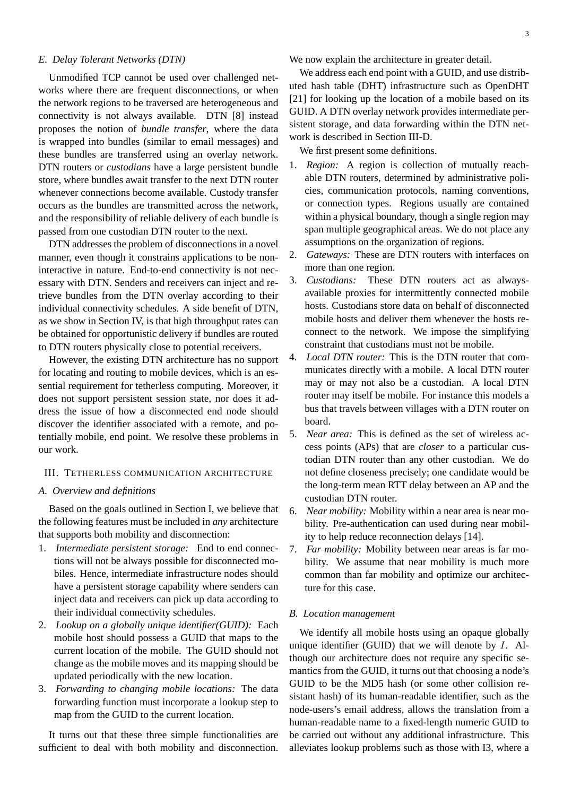## *E. Delay Tolerant Networks (DTN)*

Unmodified TCP cannot be used over challenged networks where there are frequent disconnections, or when the network regions to be traversed are heterogeneous and connectivity is not always available. DTN [8] instead proposes the notion of *bundle transfer*, where the data is wrapped into bundles (similar to email messages) and these bundles are transferred using an overlay network. DTN routers or *custodians* have a large persistent bundle store, where bundles await transfer to the next DTN router whenever connections become available. Custody transfer occurs as the bundles are transmitted across the network, and the responsibility of reliable delivery of each bundle is passed from one custodian DTN router to the next.

DTN addresses the problem of disconnections in a novel manner, even though it constrains applications to be noninteractive in nature. End-to-end connectivity is not necessary with DTN. Senders and receivers can inject and retrieve bundles from the DTN overlay according to their individual connectivity schedules. A side benefit of DTN, as we show in Section IV, is that high throughput rates can be obtained for opportunistic delivery if bundles are routed to DTN routers physically close to potential receivers.

However, the existing DTN architecture has no support for locating and routing to mobile devices, which is an essential requirement for tetherless computing. Moreover, it does not support persistent session state, nor does it address the issue of how a disconnected end node should discover the identifier associated with a remote, and potentially mobile, end point. We resolve these problems in our work.

## III. TETHERLESS COMMUNICATION ARCHITECTURE

## *A. Overview and definitions*

Based on the goals outlined in Section I, we believe that the following features must be included in *any* architecture that supports both mobility and disconnection:

- 1. *Intermediate persistent storage:* End to end connections will not be always possible for disconnected mobiles. Hence, intermediate infrastructure nodes should have a persistent storage capability where senders can inject data and receivers can pick up data according to their individual connectivity schedules.
- 2. *Lookup on a globally unique identifier(GUID):* Each mobile host should possess a GUID that maps to the current location of the mobile. The GUID should not change as the mobile moves and its mapping should be updated periodically with the new location.
- 3. *Forwarding to changing mobile locations:* The data forwarding function must incorporate a lookup step to map from the GUID to the current location.

It turns out that these three simple functionalities are sufficient to deal with both mobility and disconnection. We now explain the architecture in greater detail.

We address each end point with a GUID, and use distributed hash table (DHT) infrastructure such as OpenDHT [21] for looking up the location of a mobile based on its GUID. A DTN overlay network provides intermediate persistent storage, and data forwarding within the DTN network is described in Section III-D.

We first present some definitions.

- 1. *Region:* A region is collection of mutually reachable DTN routers, determined by administrative policies, communication protocols, naming conventions, or connection types. Regions usually are contained within a physical boundary, though a single region may span multiple geographical areas. We do not place any assumptions on the organization of regions.
- 2. *Gateways:* These are DTN routers with interfaces on more than one region.
- 3. *Custodians:* These DTN routers act as alwaysavailable proxies for intermittently connected mobile hosts. Custodians store data on behalf of disconnected mobile hosts and deliver them whenever the hosts reconnect to the network. We impose the simplifying constraint that custodians must not be mobile.
- 4. *Local DTN router:* This is the DTN router that communicates directly with a mobile. A local DTN router may or may not also be a custodian. A local DTN router may itself be mobile. For instance this models a bus that travels between villages with a DTN router on board.
- 5. *Near area:* This is defined as the set of wireless access points (APs) that are *closer* to a particular custodian DTN router than any other custodian. We do not define closeness precisely; one candidate would be the long-term mean RTT delay between an AP and the custodian DTN router.
- 6. *Near mobility:* Mobility within a near area is near mobility. Pre-authentication can used during near mobility to help reduce reconnection delays [14].
- 7. *Far mobility:* Mobility between near areas is far mobility. We assume that near mobility is much more common than far mobility and optimize our architecture for this case.

### *B. Location management*

We identify all mobile hosts using an opaque globally unique identifier (GUID) that we will denote by  $I$ . Although our architecture does not require any specific semantics from the GUID, it turns out that choosing a node's GUID to be the MD5 hash (or some other collision resistant hash) of its human-readable identifier, such as the node-users's email address, allows the translation from a human-readable name to a fixed-length numeric GUID to be carried out without any additional infrastructure. This alleviates lookup problems such as those with I3, where a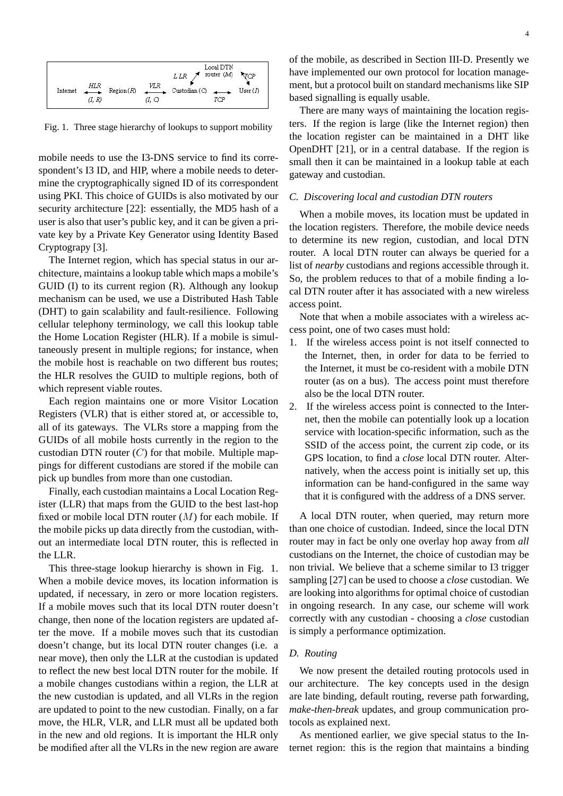

Fig. 1. Three stage hierarchy of lookups to support mobility

mobile needs to use the I3-DNS service to find its correspondent's I3 ID, and HIP, where a mobile needs to determine the cryptographically signed ID of its correspondent using PKI. This choice of GUIDs is also motivated by our security architecture [22]: essentially, the MD5 hash of a user is also that user's public key, and it can be given a private key by a Private Key Generator using Identity Based Cryptograpy [3].

The Internet region, which has special status in our architecture, maintains a lookup table which maps a mobile's GUID (I) to its current region (R). Although any lookup mechanism can be used, we use a Distributed Hash Table (DHT) to gain scalability and fault-resilience. Following cellular telephony terminology, we call this lookup table the Home Location Register (HLR). If a mobile is simultaneously present in multiple regions; for instance, when the mobile host is reachable on two different bus routes; the HLR resolves the GUID to multiple regions, both of which represent viable routes.

Each region maintains one or more Visitor Location Registers (VLR) that is either stored at, or accessible to, all of its gateways. The VLRs store a mapping from the GUIDs of all mobile hosts currently in the region to the custodian DTN router  $(C)$  for that mobile. Multiple mappings for different custodians are stored if the mobile can pick up bundles from more than one custodian.

Finally, each custodian maintains a Local Location Register (LLR) that maps from the GUID to the best last-hop fixed or mobile local DTN router  $(M)$  for each mobile. If the mobile picks up data directly from the custodian, without an intermediate local DTN router, this is reflected in the LLR.

This three-stage lookup hierarchy is shown in Fig. 1. When a mobile device moves, its location information is updated, if necessary, in zero or more location registers. If a mobile moves such that its local DTN router doesn't change, then none of the location registers are updated after the move. If a mobile moves such that its custodian doesn't change, but its local DTN router changes (i.e. a near move), then only the LLR at the custodian is updated to reflect the new best local DTN router for the mobile. If a mobile changes custodians within a region, the LLR at the new custodian is updated, and all VLRs in the region are updated to point to the new custodian. Finally, on a far move, the HLR, VLR, and LLR must all be updated both in the new and old regions. It is important the HLR only be modified after all the VLRs in the new region are aware of the mobile, as described in Section III-D. Presently we have implemented our own protocol for location management, but a protocol built on standard mechanisms like SIP based signalling is equally usable.

There are many ways of maintaining the location registers. If the region is large (like the Internet region) then the location register can be maintained in a DHT like OpenDHT [21], or in a central database. If the region is small then it can be maintained in a lookup table at each gateway and custodian.

#### *C. Discovering local and custodian DTN routers*

When a mobile moves, its location must be updated in the location registers. Therefore, the mobile device needs to determine its new region, custodian, and local DTN router. A local DTN router can always be queried for a list of *nearby* custodians and regions accessible through it. So, the problem reduces to that of a mobile finding a local DTN router after it has associated with a new wireless access point.

Note that when a mobile associates with a wireless access point, one of two cases must hold:

- 1. If the wireless access point is not itself connected to the Internet, then, in order for data to be ferried to the Internet, it must be co-resident with a mobile DTN router (as on a bus). The access point must therefore also be the local DTN router.
- 2. If the wireless access point is connected to the Internet, then the mobile can potentially look up a location service with location-specific information, such as the SSID of the access point, the current zip code, or its GPS location, to find a *close* local DTN router. Alternatively, when the access point is initially set up, this information can be hand-configured in the same way that it is configured with the address of a DNS server.

A local DTN router, when queried, may return more than one choice of custodian. Indeed, since the local DTN router may in fact be only one overlay hop away from *all* custodians on the Internet, the choice of custodian may be non trivial. We believe that a scheme similar to I3 trigger sampling [27] can be used to choose a *close* custodian. We are looking into algorithms for optimal choice of custodian in ongoing research. In any case, our scheme will work correctly with any custodian - choosing a *close* custodian is simply a performance optimization.

### *D. Routing*

We now present the detailed routing protocols used in our architecture. The key concepts used in the design are late binding, default routing, reverse path forwarding, *make-then-break* updates, and group communication protocols as explained next.

As mentioned earlier, we give special status to the Internet region: this is the region that maintains a binding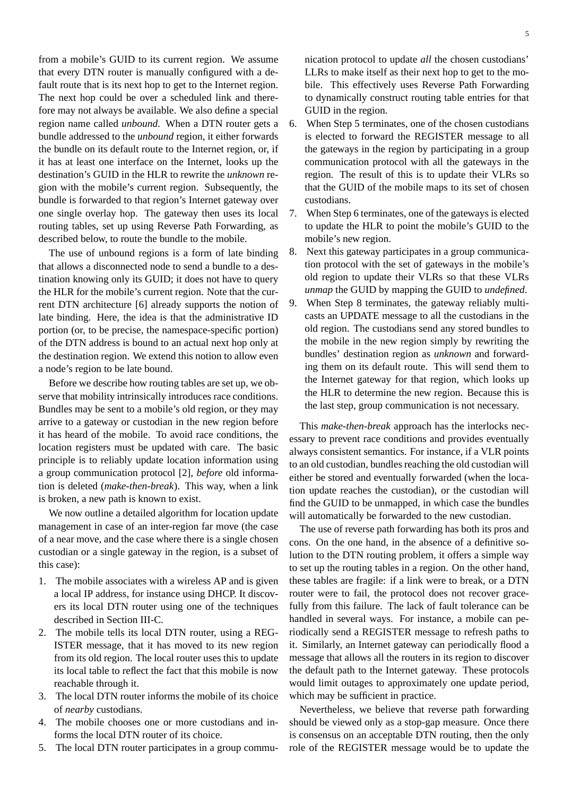from a mobile's GUID to its current region. We assume that every DTN router is manually configured with a default route that is its next hop to get to the Internet region. The next hop could be over a scheduled link and therefore may not always be available. We also define a special region name called *unbound*. When a DTN router gets a bundle addressed to the *unbound* region, it either forwards the bundle on its default route to the Internet region, or, if it has at least one interface on the Internet, looks up the destination's GUID in the HLR to rewrite the *unknown* region with the mobile's current region. Subsequently, the bundle is forwarded to that region's Internet gateway over one single overlay hop. The gateway then uses its local routing tables, set up using Reverse Path Forwarding, as described below, to route the bundle to the mobile.

The use of unbound regions is a form of late binding that allows a disconnected node to send a bundle to a destination knowing only its GUID; it does not have to query the HLR for the mobile's current region. Note that the current DTN architecture [6] already supports the notion of late binding. Here, the idea is that the administrative ID portion (or, to be precise, the namespace-specific portion) of the DTN address is bound to an actual next hop only at the destination region. We extend this notion to allow even a node's region to be late bound.

Before we describe how routing tables are set up, we observe that mobility intrinsically introduces race conditions. Bundles may be sent to a mobile's old region, or they may arrive to a gateway or custodian in the new region before it has heard of the mobile. To avoid race conditions, the location registers must be updated with care. The basic principle is to reliably update location information using a group communication protocol [2], *before* old information is deleted (*make-then-break*). This way, when a link is broken, a new path is known to exist.

We now outline a detailed algorithm for location update management in case of an inter-region far move (the case of a near move, and the case where there is a single chosen custodian or a single gateway in the region, is a subset of this case):

- 1. The mobile associates with a wireless AP and is given a local IP address, for instance using DHCP. It discovers its local DTN router using one of the techniques described in Section III-C.
- 2. The mobile tells its local DTN router, using a REG-ISTER message, that it has moved to its new region from its old region. The local router uses this to update its local table to reflect the fact that this mobile is now reachable through it.
- 3. The local DTN router informs the mobile of its choice of *nearby* custodians.
- 4. The mobile chooses one or more custodians and informs the local DTN router of its choice.
- 5. The local DTN router participates in a group commu-

nication protocol to update *all* the chosen custodians' LLRs to make itself as their next hop to get to the mobile. This effectively uses Reverse Path Forwarding to dynamically construct routing table entries for that GUID in the region.

- 6. When Step 5 terminates, one of the chosen custodians is elected to forward the REGISTER message to all the gateways in the region by participating in a group communication protocol with all the gateways in the region. The result of this is to update their VLRs so that the GUID of the mobile maps to its set of chosen custodians.
- 7. When Step 6 terminates, one of the gateways is elected to update the HLR to point the mobile's GUID to the mobile's new region.
- 8. Next this gateway participates in a group communication protocol with the set of gateways in the mobile's old region to update their VLRs so that these VLRs *unmap* the GUID by mapping the GUID to *undefined*.
- 9. When Step 8 terminates, the gateway reliably multicasts an UPDATE message to all the custodians in the old region. The custodians send any stored bundles to the mobile in the new region simply by rewriting the bundles' destination region as *unknown* and forwarding them on its default route. This will send them to the Internet gateway for that region, which looks up the HLR to determine the new region. Because this is the last step, group communication is not necessary.

This *make-then-break* approach has the interlocks necessary to prevent race conditions and provides eventually always consistent semantics. For instance, if a VLR points to an old custodian, bundles reaching the old custodian will either be stored and eventually forwarded (when the location update reaches the custodian), or the custodian will find the GUID to be unmapped, in which case the bundles will automatically be forwarded to the new custodian.

The use of reverse path forwarding has both its pros and cons. On the one hand, in the absence of a definitive solution to the DTN routing problem, it offers a simple way to set up the routing tables in a region. On the other hand, these tables are fragile: if a link were to break, or a DTN router were to fail, the protocol does not recover gracefully from this failure. The lack of fault tolerance can be handled in several ways. For instance, a mobile can periodically send a REGISTER message to refresh paths to it. Similarly, an Internet gateway can periodically flood a message that allows all the routers in its region to discover the default path to the Internet gateway. These protocols would limit outages to approximately one update period, which may be sufficient in practice.

Nevertheless, we believe that reverse path forwarding should be viewed only as a stop-gap measure. Once there is consensus on an acceptable DTN routing, then the only role of the REGISTER message would be to update the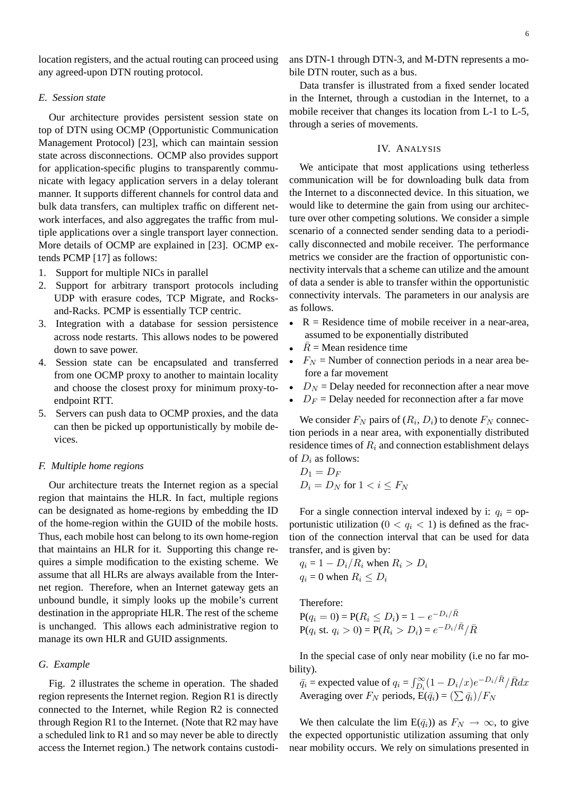location registers, and the actual routing can proceed using any agreed-upon DTN routing protocol.

# *E. Session state*

Our architecture provides persistent session state on top of DTN using OCMP (Opportunistic Communication Management Protocol) [23], which can maintain session state across disconnections. OCMP also provides support for application-specific plugins to transparently communicate with legacy application servers in a delay tolerant manner. It supports different channels for control data and bulk data transfers, can multiplex traffic on different network interfaces, and also aggregates the traffic from multiple applications over a single transport layer connection. More details of OCMP are explained in [23]. OCMP extends PCMP [17] as follows:

- 1. Support for multiple NICs in parallel
- 2. Support for arbitrary transport protocols including UDP with erasure codes, TCP Migrate, and Rocksand-Racks. PCMP is essentially TCP centric.
- 3. Integration with a database for session persistence across node restarts. This allows nodes to be powered down to save power.
- 4. Session state can be encapsulated and transferred from one OCMP proxy to another to maintain locality and choose the closest proxy for minimum proxy-toendpoint RTT.
- 5. Servers can push data to OCMP proxies, and the data can then be picked up opportunistically by mobile devices.

## *F. Multiple home regions*

Our architecture treats the Internet region as a special region that maintains the HLR. In fact, multiple regions can be designated as home-regions by embedding the ID of the home-region within the GUID of the mobile hosts. Thus, each mobile host can belong to its own home-region that maintains an HLR for it. Supporting this change requires a simple modification to the existing scheme. We assume that all HLRs are always available from the Internet region. Therefore, when an Internet gateway gets an unbound bundle, it simply looks up the mobile's current destination in the appropriate HLR. The rest of the scheme is unchanged. This allows each administrative region to manage its own HLR and GUID assignments.

#### *G. Example*

Fig. 2 illustrates the scheme in operation. The shaded region represents the Internet region. Region R1 is directly connected to the Internet, while Region R2 is connected through Region R1 to the Internet. (Note that R2 may have a scheduled link to R1 and so may never be able to directly access the Internet region.) The network contains custodians DTN-1 through DTN-3, and M-DTN represents a mobile DTN router, such as a bus.

Data transfer is illustrated from a fixed sender located in the Internet, through a custodian in the Internet, to a mobile receiver that changes its location from L-1 to L-5, through a series of movements.

#### IV. ANALYSIS

We anticipate that most applications using tetherless communication will be for downloading bulk data from the Internet to a disconnected device. In this situation, we would like to determine the gain from using our architecture over other competing solutions. We consider a simple scenario of a connected sender sending data to a periodically disconnected and mobile receiver. The performance metrics we consider are the fraction of opportunistic connectivity intervals that a scheme can utilize and the amount of data a sender is able to transfer within the opportunistic connectivity intervals. The parameters in our analysis are as follows.

- $R =$  Residence time of mobile receiver in a near-area, assumed to be exponentially distributed
- $\overline{R}$  = Mean residence time
- $F_N$  = Number of connection periods in a near area before a far movement
- $D<sub>N</sub>$  = Delay needed for reconnection after a near move
- $D_F$  = Delay needed for reconnection after a far move

We consider  $F_N$  pairs of  $(R_i, D_i)$  to denote  $F_N$  connection periods in a near area, with exponentially distributed residence times of  $R_i$  and connection establishment delays of  $D_i$  as follows:

$$
D_1 = D_F
$$
  

$$
D_i = D_N \text{ for } 1 < i \leq F_N
$$

For a single connection interval indexed by i:  $q_i =$  opportunistic utilization ( $0 < q_i < 1$ ) is defined as the fraction of the connection interval that can be used for data transfer, and is given by:

$$
q_i = 1 - D_i/R_i \text{ when } R_i > D_i
$$
  

$$
q_i = 0 \text{ when } R_i \le D_i
$$

Therefore:

$$
P(q_i = 0) = P(R_i \le D_i) = 1 - e^{-D_i/\bar{R}}
$$
  
 
$$
P(q_i \text{ st. } q_i > 0) = P(R_i > D_i) = e^{-D_i/\bar{R}}/\bar{R}
$$

In the special case of only near mobility (i.e no far mobility).

 $\bar{q}_i$  = expected value of  $q_i = \int_{D_i}^{\infty} (1 - D_i/x) e^{-D_i/\bar{R}} / \bar{R} dx$ Averaging over  $F_N$  periods,  $E(\bar{q}_i) = (\sum \bar{q}_i)/F_N$ 

We then calculate the lim  $E(\bar{q}_i)$  as  $F_N \to \infty$ , to give the expected opportunistic utilization assuming that only near mobility occurs. We rely on simulations presented in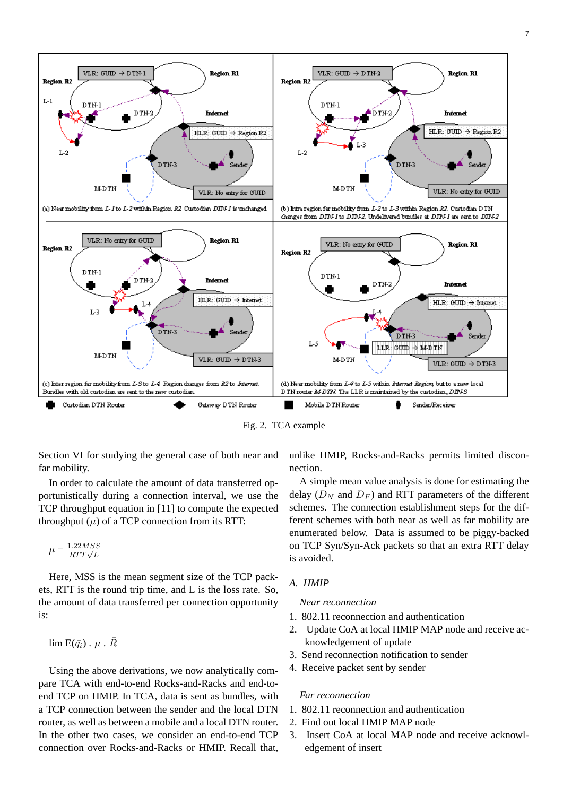

Fig. 2. TCA example

Section VI for studying the general case of both near and far mobility.

In order to calculate the amount of data transferred opportunistically during a connection interval, we use the TCP throughput equation in [11] to compute the expected throughput  $(\mu)$  of a TCP connection from its RTT:

$$
\mu = \frac{1.22MSS}{RTT\sqrt{L}}
$$

Here, MSS is the mean segment size of the TCP packets, RTT is the round trip time, and L is the loss rate. So, the amount of data transferred per connection opportunity is:

 $\lim E(\bar{q}_i) \cdot \mu \cdot \bar{R}$ 

Using the above derivations, we now analytically compare TCA with end-to-end Rocks-and-Racks and end-toend TCP on HMIP. In TCA, data is sent as bundles, with a TCP connection between the sender and the local DTN router, as well as between a mobile and a local DTN router. In the other two cases, we consider an end-to-end TCP connection over Rocks-and-Racks or HMIP. Recall that, unlike HMIP, Rocks-and-Racks permits limited disconnection.

A simple mean value analysis is done for estimating the delay  $(D_N$  and  $D_F$ ) and RTT parameters of the different schemes. The connection establishment steps for the different schemes with both near as well as far mobility are enumerated below. Data is assumed to be piggy-backed on TCP Syn/Syn-Ack packets so that an extra RTT delay is avoided.

## *A. HMIP*

#### *Near reconnection*

- 1. 802.11 reconnection and authentication
- 2. Update CoA at local HMIP MAP node and receive acknowledgement of update
- 3. Send reconnection notification to sender
- 4. Receive packet sent by sender

#### *Far reconnection*

- 1. 802.11 reconnection and authentication
- 2. Find out local HMIP MAP node
- 3. Insert CoA at local MAP node and receive acknowledgement of insert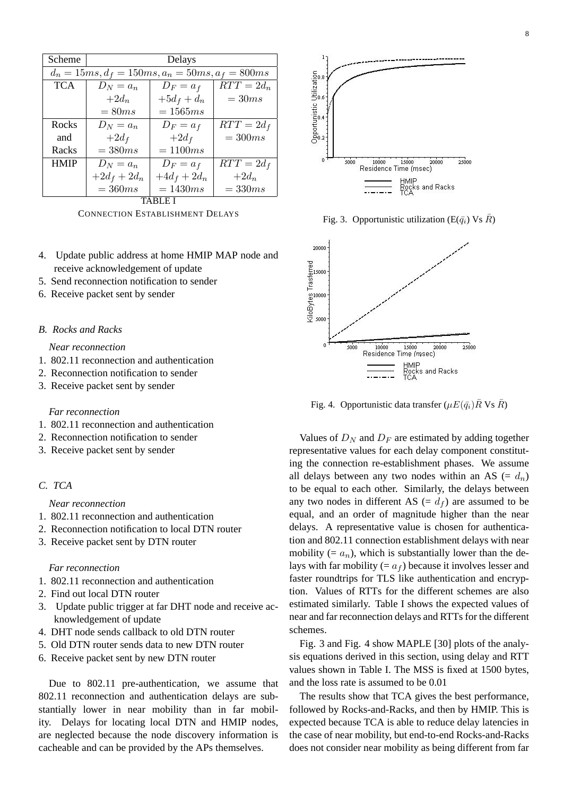| Scheme                                             | Delays         |               |              |  |
|----------------------------------------------------|----------------|---------------|--------------|--|
| $d_n = 15ms, d_f = 150ms, a_n = 50ms, a_f = 800ms$ |                |               |              |  |
| <b>TCA</b>                                         | $D_N = a_n$    | $D_F = a_f$   | $RTT = 2d_n$ |  |
|                                                    | $+2d_n$        | $+5d_f + d_n$ | $=30ms$      |  |
|                                                    | $= 80 ms$      | $=1565ms$     |              |  |
| Rocks                                              | $D_N = a_n$    | $D_F = a_f$   | $RTT = 2d_f$ |  |
| and                                                | $+2d_f$        | $+2d_f$       | $=300ms$     |  |
| Racks                                              | $=380ms$       | $=1100ms$     |              |  |
| <b>HMIP</b>                                        | $D_N = a_n$    | $D_F = a_f$   | $RTT = 2d_f$ |  |
|                                                    | $+2d_f + 2d_n$ | $+4d_f+2d_n$  | $+2d_n$      |  |
|                                                    | $=360ms$       | $=1430ms$     | $=330ms$     |  |
| TABL                                               |                |               |              |  |

CONNECTION ESTABLISHMENT DELAYS

- 4. Update public address at home HMIP MAP node and receive acknowledgement of update
- 5. Send reconnection notification to sender
- 6. Receive packet sent by sender

## *B. Rocks and Racks*

*Near reconnection*

- 1. 802.11 reconnection and authentication
- 2. Reconnection notification to sender
- 3. Receive packet sent by sender

## *Far reconnection*

- 1. 802.11 reconnection and authentication
- 2. Reconnection notification to sender
- 3. Receive packet sent by sender

# *C. TCA*

## *Near reconnection*

- 1. 802.11 reconnection and authentication
- 2. Reconnection notification to local DTN router
- 3. Receive packet sent by DTN router

# *Far reconnection*

- 1. 802.11 reconnection and authentication
- 2. Find out local DTN router
- 3. Update public trigger at far DHT node and receive acknowledgement of update
- 4. DHT node sends callback to old DTN router
- 5. Old DTN router sends data to new DTN router
- 6. Receive packet sent by new DTN router

Due to 802.11 pre-authentication, we assume that 802.11 reconnection and authentication delays are substantially lower in near mobility than in far mobility. Delays for locating local DTN and HMIP nodes, are neglected because the node discovery information is cacheable and can be provided by the APs themselves.



Fig. 3. Opportunistic utilization (E( $\bar{q}_i$ ) Vs  $\bar{R}$ )



Fig. 4. Opportunistic data transfer ( $\mu E(\bar{q}_i) \bar{R}$  Vs  $\bar{R}$ )

Values of  $D_N$  and  $D_F$  are estimated by adding together representative values for each delay component constituting the connection re-establishment phases. We assume all delays between any two nodes within an AS (=  $d_n$ ) to be equal to each other. Similarly, the delays between any two nodes in different AS  $(= d_f)$  are assumed to be equal, and an order of magnitude higher than the near delays. A representative value is chosen for authentication and 802.11 connection establishment delays with near mobility  $(= a_n)$ , which is substantially lower than the delays with far mobility (=  $a_f$ ) because it involves lesser and faster roundtrips for TLS like authentication and encryption. Values of RTTs for the different schemes are also estimated similarly. Table I shows the expected values of near and far reconnection delays and RTTs for the different schemes.

Fig. 3 and Fig. 4 show MAPLE [30] plots of the analysis equations derived in this section, using delay and RTT values shown in Table I. The MSS is fixed at 1500 bytes, and the loss rate is assumed to be 0.01

The results show that TCA gives the best performance, followed by Rocks-and-Racks, and then by HMIP. This is expected because TCA is able to reduce delay latencies in the case of near mobility, but end-to-end Rocks-and-Racks does not consider near mobility as being different from far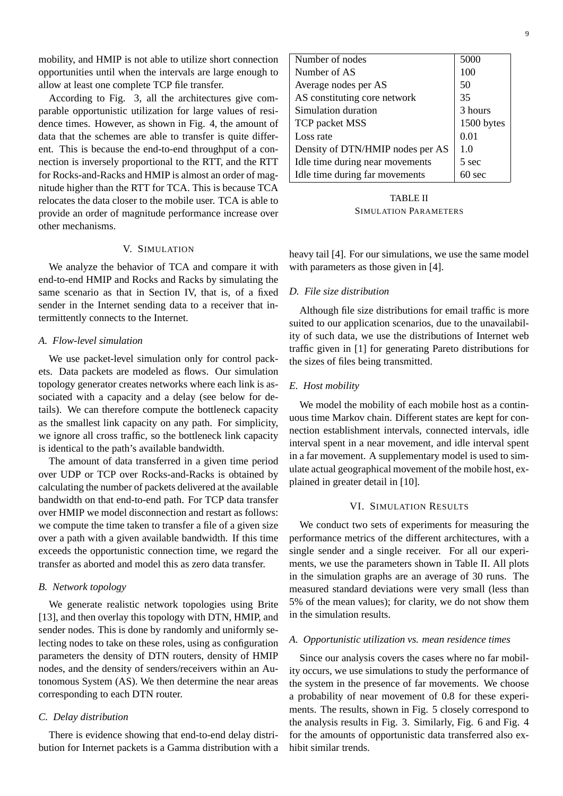mobility, and HMIP is not able to utilize short connection opportunities until when the intervals are large enough to allow at least one complete TCP file transfer.

According to Fig. 3, all the architectures give comparable opportunistic utilization for large values of residence times. However, as shown in Fig. 4, the amount of data that the schemes are able to transfer is quite different. This is because the end-to-end throughput of a connection is inversely proportional to the RTT, and the RTT for Rocks-and-Racks and HMIP is almost an order of magnitude higher than the RTT for TCA. This is because TCA relocates the data closer to the mobile user. TCA is able to provide an order of magnitude performance increase over other mechanisms.

## V. SIMULATION

We analyze the behavior of TCA and compare it with end-to-end HMIP and Rocks and Racks by simulating the same scenario as that in Section IV, that is, of a fixed sender in the Internet sending data to a receiver that intermittently connects to the Internet.

#### *A. Flow-level simulation*

We use packet-level simulation only for control packets. Data packets are modeled as flows. Our simulation topology generator creates networks where each link is associated with a capacity and a delay (see below for details). We can therefore compute the bottleneck capacity as the smallest link capacity on any path. For simplicity, we ignore all cross traffic, so the bottleneck link capacity is identical to the path's available bandwidth.

The amount of data transferred in a given time period over UDP or TCP over Rocks-and-Racks is obtained by calculating the number of packets delivered at the available bandwidth on that end-to-end path. For TCP data transfer over HMIP we model disconnection and restart as follows: we compute the time taken to transfer a file of a given size over a path with a given available bandwidth. If this time exceeds the opportunistic connection time, we regard the transfer as aborted and model this as zero data transfer.

# *B. Network topology*

We generate realistic network topologies using Brite [13], and then overlay this topology with DTN, HMIP, and sender nodes. This is done by randomly and uniformly selecting nodes to take on these roles, using as configuration parameters the density of DTN routers, density of HMIP nodes, and the density of senders/receivers within an Autonomous System (AS). We then determine the near areas corresponding to each DTN router.

#### *C. Delay distribution*

There is evidence showing that end-to-end delay distribution for Internet packets is a Gamma distribution with a

| Number of nodes                  | 5000             |
|----------------------------------|------------------|
| Number of AS                     | 100              |
| Average nodes per AS             | 50               |
| AS constituting core network     | 35               |
| Simulation duration              | 3 hours          |
| TCP packet MSS                   | 1500 bytes       |
| Loss rate                        | 0.01             |
| Density of DTN/HMIP nodes per AS | 1.0              |
| Idle time during near movements  | 5 sec            |
| Idle time during far movements   | $60 \text{ sec}$ |
|                                  |                  |

TABLE II SIMULATION PARAMETERS

heavy tail [4]. For our simulations, we use the same model with parameters as those given in [4].

#### *D. File size distribution*

Although file size distributions for email traffic is more suited to our application scenarios, due to the unavailability of such data, we use the distributions of Internet web traffic given in [1] for generating Pareto distributions for the sizes of files being transmitted.

#### *E. Host mobility*

We model the mobility of each mobile host as a continuous time Markov chain. Different states are kept for connection establishment intervals, connected intervals, idle interval spent in a near movement, and idle interval spent in a far movement. A supplementary model is used to simulate actual geographical movement of the mobile host, explained in greater detail in [10].

## VI. SIMULATION RESULTS

We conduct two sets of experiments for measuring the performance metrics of the different architectures, with a single sender and a single receiver. For all our experiments, we use the parameters shown in Table II. All plots in the simulation graphs are an average of 30 runs. The measured standard deviations were very small (less than 5% of the mean values); for clarity, we do not show them in the simulation results.

#### *A. Opportunistic utilization vs. mean residence times*

Since our analysis covers the cases where no far mobility occurs, we use simulations to study the performance of the system in the presence of far movements. We choose a probability of near movement of 0.8 for these experiments. The results, shown in Fig. 5 closely correspond to the analysis results in Fig. 3. Similarly, Fig. 6 and Fig. 4 for the amounts of opportunistic data transferred also exhibit similar trends.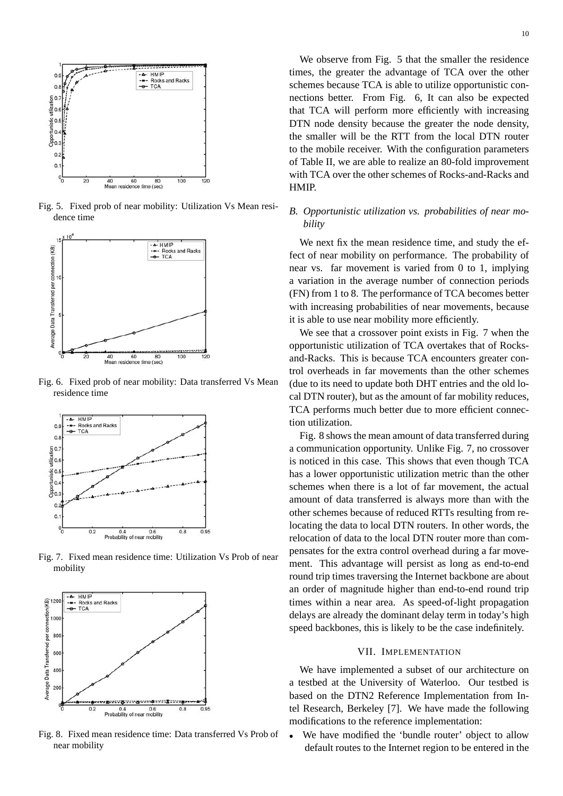

Fig. 5. Fixed prob of near mobility: Utilization Vs Mean residence time



Fig. 6. Fixed prob of near mobility: Data transferred Vs Mean residence time



Fig. 7. Fixed mean residence time: Utilization Vs Prob of near mobility



Fig. 8. Fixed mean residence time: Data transferred Vs Prob of near mobility

10

We observe from Fig. 5 that the smaller the residence times, the greater the advantage of TCA over the other schemes because TCA is able to utilize opportunistic connections better. From Fig. 6, It can also be expected that TCA will perform more efficiently with increasing DTN node density because the greater the node density, the smaller will be the RTT from the local DTN router to the mobile receiver. With the configuration parameters of Table II, we are able to realize an 80-fold improvement with TCA over the other schemes of Rocks-and-Racks and HMIP.

# *B. Opportunistic utilization vs. probabilities of near mobility*

We next fix the mean residence time, and study the effect of near mobility on performance. The probability of near vs. far movement is varied from 0 to 1, implying a variation in the average number of connection periods (FN) from 1 to 8. The performance of TCA becomes better with increasing probabilities of near movements, because it is able to use near mobility more efficiently.

We see that a crossover point exists in Fig. 7 when the opportunistic utilization of TCA overtakes that of Rocksand-Racks. This is because TCA encounters greater control overheads in far movements than the other schemes (due to its need to update both DHT entries and the old local DTN router), but as the amount of far mobility reduces, TCA performs much better due to more efficient connection utilization.

Fig. 8 shows the mean amount of data transferred during a communication opportunity. Unlike Fig. 7, no crossover is noticed in this case. This shows that even though TCA has a lower opportunistic utilization metric than the other schemes when there is a lot of far movement, the actual amount of data transferred is always more than with the other schemes because of reduced RTTs resulting from relocating the data to local DTN routers. In other words, the relocation of data to the local DTN router more than compensates for the extra control overhead during a far movement. This advantage will persist as long as end-to-end round trip times traversing the Internet backbone are about an order of magnitude higher than end-to-end round trip times within a near area. As speed-of-light propagation delays are already the dominant delay term in today's high speed backbones, this is likely to be the case indefinitely.

## VII. IMPLEMENTATION

We have implemented a subset of our architecture on a testbed at the University of Waterloo. Our testbed is based on the DTN2 Reference Implementation from Intel Research, Berkeley [7]. We have made the following modifications to the reference implementation:

We have modified the 'bundle router' object to allow default routes to the Internet region to be entered in the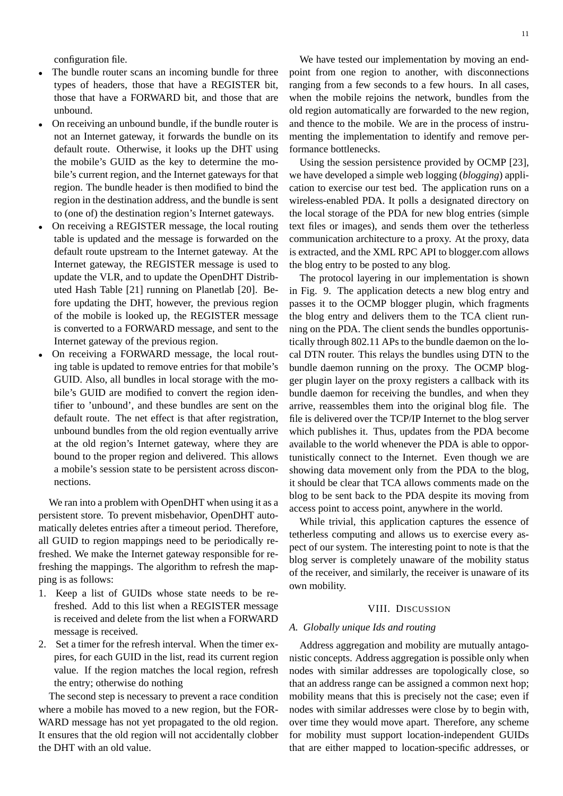configuration file.

- The bundle router scans an incoming bundle for three types of headers, those that have a REGISTER bit, those that have a FORWARD bit, and those that are unbound.
- On receiving an unbound bundle, if the bundle router is not an Internet gateway, it forwards the bundle on its default route. Otherwise, it looks up the DHT using the mobile's GUID as the key to determine the mobile's current region, and the Internet gateways for that region. The bundle header is then modified to bind the region in the destination address, and the bundle is sent to (one of) the destination region's Internet gateways.
- On receiving a REGISTER message, the local routing table is updated and the message is forwarded on the default route upstream to the Internet gateway. At the Internet gateway, the REGISTER message is used to update the VLR, and to update the OpenDHT Distributed Hash Table [21] running on Planetlab [20]. Before updating the DHT, however, the previous region of the mobile is looked up, the REGISTER message is converted to a FORWARD message, and sent to the Internet gateway of the previous region.
- On receiving a FORWARD message, the local routing table is updated to remove entries for that mobile's GUID. Also, all bundles in local storage with the mobile's GUID are modified to convert the region identifier to 'unbound', and these bundles are sent on the default route. The net effect is that after registration, unbound bundles from the old region eventually arrive at the old region's Internet gateway, where they are bound to the proper region and delivered. This allows a mobile's session state to be persistent across disconnections.

We ran into a problem with OpenDHT when using it as a persistent store. To prevent misbehavior, OpenDHT automatically deletes entries after a timeout period. Therefore, all GUID to region mappings need to be periodically refreshed. We make the Internet gateway responsible for refreshing the mappings. The algorithm to refresh the mapping is as follows:

- 1. Keep a list of GUIDs whose state needs to be refreshed. Add to this list when a REGISTER message is received and delete from the list when a FORWARD message is received.
- 2. Set a timer for the refresh interval. When the timer expires, for each GUID in the list, read its current region value. If the region matches the local region, refresh the entry; otherwise do nothing

The second step is necessary to prevent a race condition where a mobile has moved to a new region, but the FOR-WARD message has not yet propagated to the old region. It ensures that the old region will not accidentally clobber the DHT with an old value.

We have tested our implementation by moving an endpoint from one region to another, with disconnections ranging from a few seconds to a few hours. In all cases, when the mobile rejoins the network, bundles from the old region automatically are forwarded to the new region, and thence to the mobile. We are in the process of instrumenting the implementation to identify and remove performance bottlenecks.

Using the session persistence provided by OCMP [23], we have developed a simple web logging (*blogging*) application to exercise our test bed. The application runs on a wireless-enabled PDA. It polls a designated directory on the local storage of the PDA for new blog entries (simple text files or images), and sends them over the tetherless communication architecture to a proxy. At the proxy, data is extracted, and the XML RPC API to blogger.com allows the blog entry to be posted to any blog.

The protocol layering in our implementation is shown in Fig. 9. The application detects a new blog entry and passes it to the OCMP blogger plugin, which fragments the blog entry and delivers them to the TCA client running on the PDA. The client sends the bundles opportunistically through 802.11 APs to the bundle daemon on the local DTN router. This relays the bundles using DTN to the bundle daemon running on the proxy. The OCMP blogger plugin layer on the proxy registers a callback with its bundle daemon for receiving the bundles, and when they arrive, reassembles them into the original blog file. The file is delivered over the TCP/IP Internet to the blog server which publishes it. Thus, updates from the PDA become available to the world whenever the PDA is able to opportunistically connect to the Internet. Even though we are showing data movement only from the PDA to the blog, it should be clear that TCA allows comments made on the blog to be sent back to the PDA despite its moving from access point to access point, anywhere in the world.

While trivial, this application captures the essence of tetherless computing and allows us to exercise every aspect of our system. The interesting point to note is that the blog server is completely unaware of the mobility status of the receiver, and similarly, the receiver is unaware of its own mobility.

#### VIII. DISCUSSION

# *A. Globally unique Ids and routing*

Address aggregation and mobility are mutually antagonistic concepts. Address aggregation is possible only when nodes with similar addresses are topologically close, so that an address range can be assigned a common next hop; mobility means that this is precisely not the case; even if nodes with similar addresses were close by to begin with, over time they would move apart. Therefore, any scheme for mobility must support location-independent GUIDs that are either mapped to location-specific addresses, or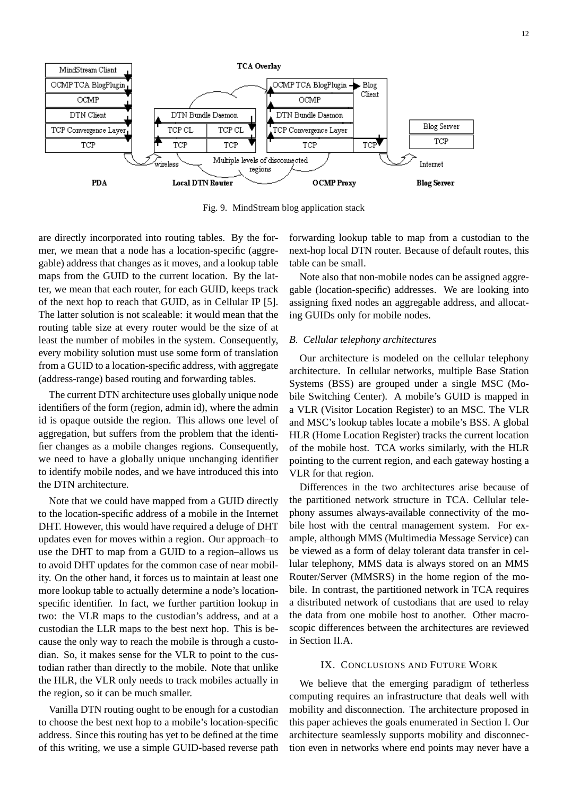

Fig. 9. MindStream blog application stack

are directly incorporated into routing tables. By the former, we mean that a node has a location-specific (aggregable) address that changes as it moves, and a lookup table maps from the GUID to the current location. By the latter, we mean that each router, for each GUID, keeps track of the next hop to reach that GUID, as in Cellular IP [5]. The latter solution is not scaleable: it would mean that the routing table size at every router would be the size of at least the number of mobiles in the system. Consequently, every mobility solution must use some form of translation from a GUID to a location-specific address, with aggregate (address-range) based routing and forwarding tables.

The current DTN architecture uses globally unique node identifiers of the form (region, admin id), where the admin id is opaque outside the region. This allows one level of aggregation, but suffers from the problem that the identifier changes as a mobile changes regions. Consequently, we need to have a globally unique unchanging identifier to identify mobile nodes, and we have introduced this into the DTN architecture.

Note that we could have mapped from a GUID directly to the location-specific address of a mobile in the Internet DHT. However, this would have required a deluge of DHT updates even for moves within a region. Our approach–to use the DHT to map from a GUID to a region–allows us to avoid DHT updates for the common case of near mobility. On the other hand, it forces us to maintain at least one more lookup table to actually determine a node's locationspecific identifier. In fact, we further partition lookup in two: the VLR maps to the custodian's address, and at a custodian the LLR maps to the best next hop. This is because the only way to reach the mobile is through a custodian. So, it makes sense for the VLR to point to the custodian rather than directly to the mobile. Note that unlike the HLR, the VLR only needs to track mobiles actually in the region, so it can be much smaller.

Vanilla DTN routing ought to be enough for a custodian to choose the best next hop to a mobile's location-specific address. Since this routing has yet to be defined at the time of this writing, we use a simple GUID-based reverse path forwarding lookup table to map from a custodian to the next-hop local DTN router. Because of default routes, this table can be small.

Note also that non-mobile nodes can be assigned aggregable (location-specific) addresses. We are looking into assigning fixed nodes an aggregable address, and allocating GUIDs only for mobile nodes.

## *B. Cellular telephony architectures*

Our architecture is modeled on the cellular telephony architecture. In cellular networks, multiple Base Station Systems (BSS) are grouped under a single MSC (Mobile Switching Center). A mobile's GUID is mapped in a VLR (Visitor Location Register) to an MSC. The VLR and MSC's lookup tables locate a mobile's BSS. A global HLR (Home Location Register) tracks the current location of the mobile host. TCA works similarly, with the HLR pointing to the current region, and each gateway hosting a VLR for that region.

Differences in the two architectures arise because of the partitioned network structure in TCA. Cellular telephony assumes always-available connectivity of the mobile host with the central management system. For example, although MMS (Multimedia Message Service) can be viewed as a form of delay tolerant data transfer in cellular telephony, MMS data is always stored on an MMS Router/Server (MMSRS) in the home region of the mobile. In contrast, the partitioned network in TCA requires a distributed network of custodians that are used to relay the data from one mobile host to another. Other macroscopic differences between the architectures are reviewed in Section II.A.

#### IX. CONCLUSIONS AND FUTURE WORK

We believe that the emerging paradigm of tetherless computing requires an infrastructure that deals well with mobility and disconnection. The architecture proposed in this paper achieves the goals enumerated in Section I. Our architecture seamlessly supports mobility and disconnection even in networks where end points may never have a